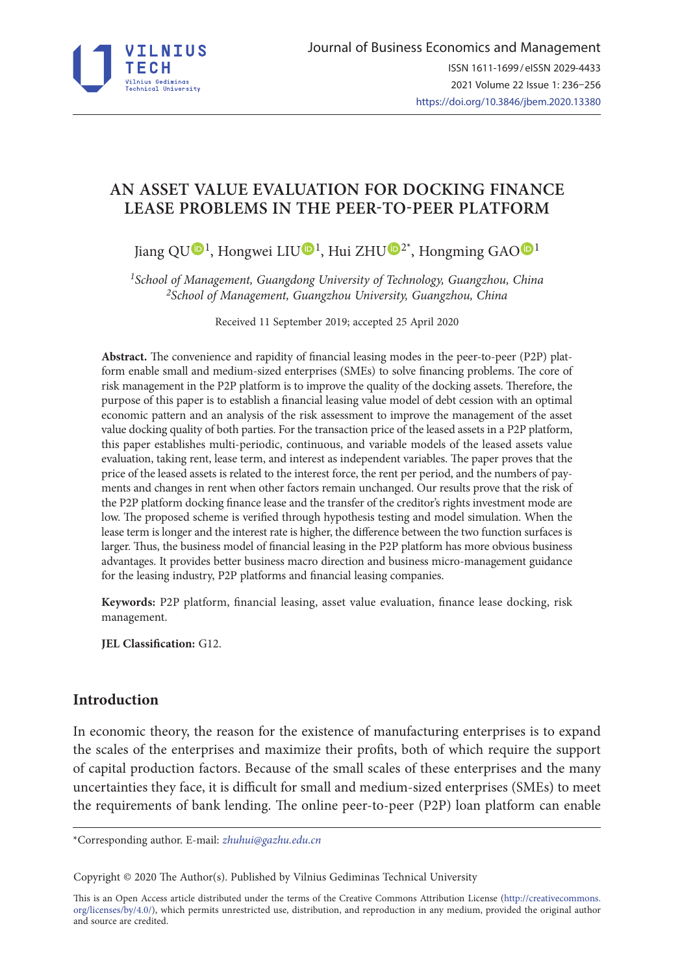

# **AN ASSET VALUE EVALUATION FOR DOCKING FINANCE LEASE PROBLEMS IN THE PEER-TO-PEER PLATFORM**

Jiang Q[U](https://orcid.org/0000-0001-5061-3671)<sup>D<sub>1</sub></sup>, Hongwei LIU<sup>D<sub>1</sub>, Hui ZHU<sup>D2\*</sup>, Hongming GA[O](https://orcid.org/0000-0001-6273-6695)<sup>D1</sup></sup>

*1School of Management, Guangdong University of Technology, Guangzhou, China 2School of Management, Guangzhou University, Guangzhou, China*

Received 11 September 2019; accepted 25 April 2020

**Abstract.** The convenience and rapidity of financial leasing modes in the peer-to-peer (P2P) platform enable small and medium-sized enterprises (SMEs) to solve financing problems. The core of risk management in the P2P platform is to improve the quality of the docking assets. Therefore, the purpose of this paper is to establish a financial leasing value model of debt cession with an optimal economic pattern and an analysis of the risk assessment to improve the management of the asset value docking quality of both parties. For the transaction price of the leased assets in a P2P platform, this paper establishes multi-periodic, continuous, and variable models of the leased assets value evaluation, taking rent, lease term, and interest as independent variables. The paper proves that the price of the leased assets is related to the interest force, the rent per period, and the numbers of payments and changes in rent when other factors remain unchanged. Our results prove that the risk of the P2P platform docking finance lease and the transfer of the creditor's rights investment mode are low. The proposed scheme is verified through hypothesis testing and model simulation. When the lease term is longer and the interest rate is higher, the difference between the two function surfaces is larger. Thus, the business model of financial leasing in the P2P platform has more obvious business advantages. It provides better business macro direction and business micro-management guidance for the leasing industry, P2P platforms and financial leasing companies.

**Keywords:** P2P platform, financial leasing, asset value evaluation, finance lease docking, risk management.

**JEL Classification:** G12.

## **Introduction**

In economic theory, the reason for the existence of manufacturing enterprises is to expand the scales of the enterprises and maximize their profits, both of which require the support of capital production factors. Because of the small scales of these enterprises and the many uncertainties they face, it is difficult for small and medium-sized enterprises (SMEs) to meet the requirements of bank lending. The online peer-to-peer (P2P) loan platform can enable

\*Corresponding author. E-mail: *zhuhui@gazhu.edu.cn*

Copyright © 2020 The Author(s). Published by Vilnius Gediminas Technical University

This is an Open Access article distributed under the terms of the Creative Commons Attribution License (http://creativecommons. org/licenses/by/4.0/), which permits unrestricted use, distribution, and reproduction in any medium, provided the original author and source are credited.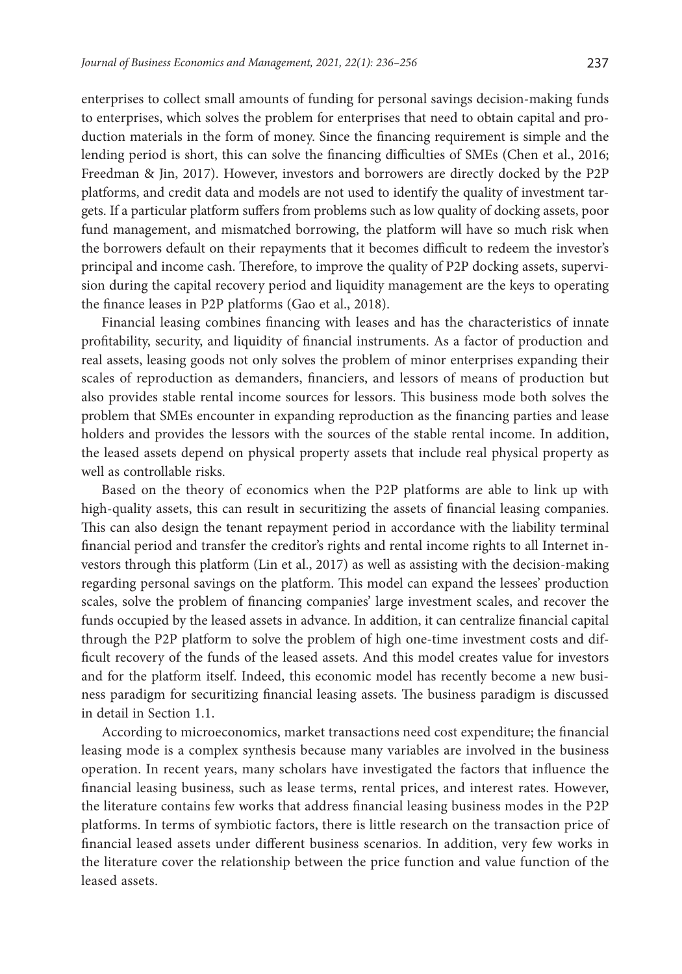enterprises to collect small amounts of funding for personal savings decision-making funds to enterprises, which solves the problem for enterprises that need to obtain capital and production materials in the form of money. Since the financing requirement is simple and the lending period is short, this can solve the financing difficulties of SMEs (Chen et al., 2016; Freedman & Jin, 2017). However, investors and borrowers are directly docked by the P2P platforms, and credit data and models are not used to identify the quality of investment targets. If a particular platform suffers from problems such as low quality of docking assets, poor fund management, and mismatched borrowing, the platform will have so much risk when the borrowers default on their repayments that it becomes difficult to redeem the investor's principal and income cash. Therefore, to improve the quality of P2P docking assets, supervision during the capital recovery period and liquidity management are the keys to operating the finance leases in P2P platforms (Gao et al., 2018).

Financial leasing combines financing with leases and has the characteristics of innate profitability, security, and liquidity of financial instruments. As a factor of production and real assets, leasing goods not only solves the problem of minor enterprises expanding their scales of reproduction as demanders, financiers, and lessors of means of production but also provides stable rental income sources for lessors. This business mode both solves the problem that SMEs encounter in expanding reproduction as the financing parties and lease holders and provides the lessors with the sources of the stable rental income. In addition, the leased assets depend on physical property assets that include real physical property as well as controllable risks.

Based on the theory of economics when the P2P platforms are able to link up with high-quality assets, this can result in securitizing the assets of financial leasing companies. This can also design the tenant repayment period in accordance with the liability terminal financial period and transfer the creditor's rights and rental income rights to all Internet investors through this platform (Lin et al., 2017) as well as assisting with the decision-making regarding personal savings on the platform. This model can expand the lessees' production scales, solve the problem of financing companies' large investment scales, and recover the funds occupied by the leased assets in advance. In addition, it can centralize financial capital through the P2P platform to solve the problem of high one-time investment costs and difficult recovery of the funds of the leased assets. And this model creates value for investors and for the platform itself. Indeed, this economic model has recently become a new business paradigm for securitizing financial leasing assets. The business paradigm is discussed in detail in Section 1.1.

According to microeconomics, market transactions need cost expenditure; the financial leasing mode is a complex synthesis because many variables are involved in the business operation. In recent years, many scholars have investigated the factors that influence the financial leasing business, such as lease terms, rental prices, and interest rates. However, the literature contains few works that address financial leasing business modes in the P2P platforms. In terms of symbiotic factors, there is little research on the transaction price of financial leased assets under different business scenarios. In addition, very few works in the literature cover the relationship between the price function and value function of the leased assets.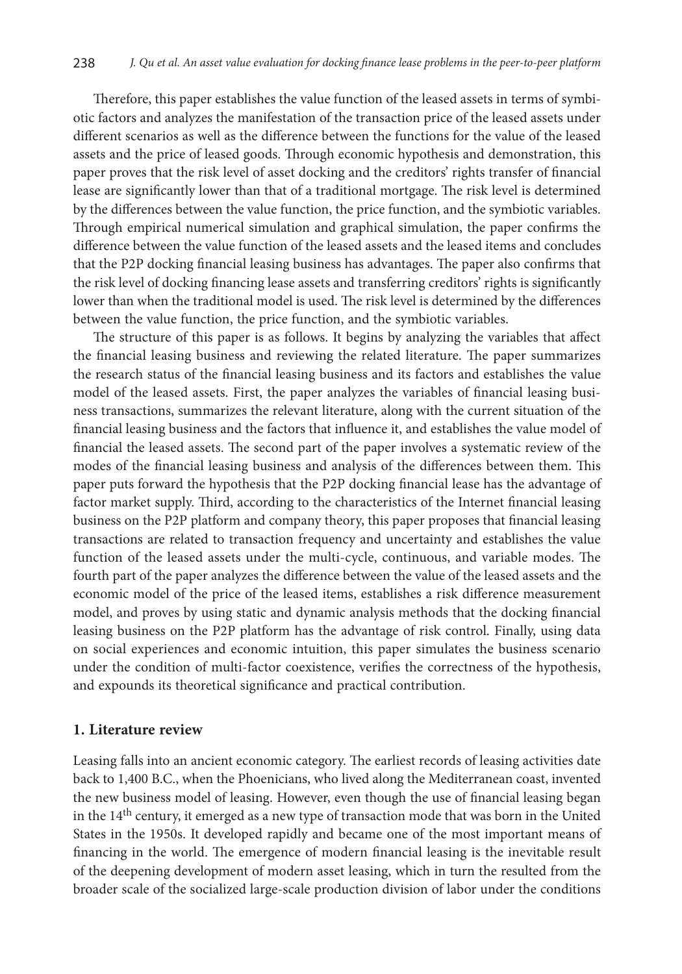Therefore, this paper establishes the value function of the leased assets in terms of symbiotic factors and analyzes the manifestation of the transaction price of the leased assets under different scenarios as well as the difference between the functions for the value of the leased assets and the price of leased goods. Through economic hypothesis and demonstration, this paper proves that the risk level of asset docking and the creditors' rights transfer of financial lease are significantly lower than that of a traditional mortgage. The risk level is determined by the differences between the value function, the price function, and the symbiotic variables. Through empirical numerical simulation and graphical simulation, the paper confirms the difference between the value function of the leased assets and the leased items and concludes that the P2P docking financial leasing business has advantages. The paper also confirms that the risk level of docking financing lease assets and transferring creditors' rights is significantly lower than when the traditional model is used. The risk level is determined by the differences between the value function, the price function, and the symbiotic variables.

The structure of this paper is as follows. It begins by analyzing the variables that affect the financial leasing business and reviewing the related literature. The paper summarizes the research status of the financial leasing business and its factors and establishes the value model of the leased assets. First, the paper analyzes the variables of financial leasing business transactions, summarizes the relevant literature, along with the current situation of the financial leasing business and the factors that influence it, and establishes the value model of financial the leased assets. The second part of the paper involves a systematic review of the modes of the financial leasing business and analysis of the differences between them. This paper puts forward the hypothesis that the P2P docking financial lease has the advantage of factor market supply. Third, according to the characteristics of the Internet financial leasing business on the P2P platform and company theory, this paper proposes that financial leasing transactions are related to transaction frequency and uncertainty and establishes the value function of the leased assets under the multi-cycle, continuous, and variable modes. The fourth part of the paper analyzes the difference between the value of the leased assets and the economic model of the price of the leased items, establishes a risk difference measurement model, and proves by using static and dynamic analysis methods that the docking financial leasing business on the P2P platform has the advantage of risk control. Finally, using data on social experiences and economic intuition, this paper simulates the business scenario under the condition of multi-factor coexistence, verifies the correctness of the hypothesis, and expounds its theoretical significance and practical contribution.

### **1. Literature review**

Leasing falls into an ancient economic category. The earliest records of leasing activities date back to 1,400 B.C., when the Phoenicians, who lived along the Mediterranean coast, invented the new business model of leasing. However, even though the use of financial leasing began in the  $14<sup>th</sup>$  century, it emerged as a new type of transaction mode that was born in the United States in the 1950s. It developed rapidly and became one of the most important means of financing in the world. The emergence of modern financial leasing is the inevitable result of the deepening development of modern asset leasing, which in turn the resulted from the broader scale of the socialized large-scale production division of labor under the conditions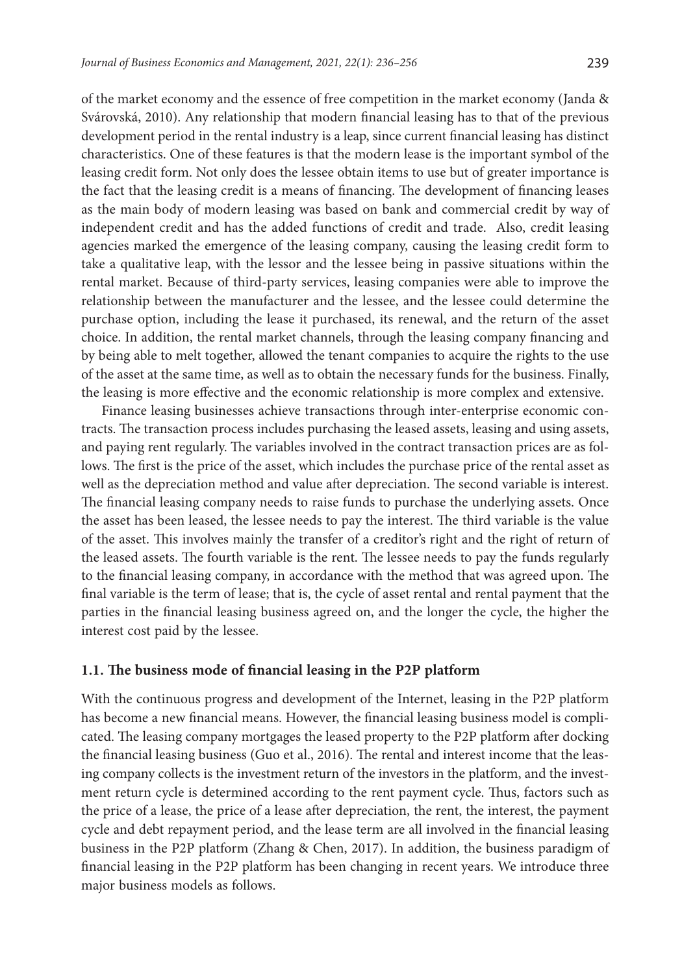of the market economy and the essence of free competition in the market economy (Janda & Svárovská, 2010). Any relationship that modern financial leasing has to that of the previous development period in the rental industry is a leap, since current financial leasing has distinct characteristics. One of these features is that the modern lease is the important symbol of the leasing credit form. Not only does the lessee obtain items to use but of greater importance is the fact that the leasing credit is a means of financing. The development of financing leases as the main body of modern leasing was based on bank and commercial credit by way of independent credit and has the added functions of credit and trade. Also, credit leasing agencies marked the emergence of the leasing company, causing the leasing credit form to take a qualitative leap, with the lessor and the lessee being in passive situations within the rental market. Because of third-party services, leasing companies were able to improve the relationship between the manufacturer and the lessee, and the lessee could determine the purchase option, including the lease it purchased, its renewal, and the return of the asset choice. In addition, the rental market channels, through the leasing company financing and by being able to melt together, allowed the tenant companies to acquire the rights to the use of the asset at the same time, as well as to obtain the necessary funds for the business. Finally, the leasing is more effective and the economic relationship is more complex and extensive.

Finance leasing businesses achieve transactions through inter-enterprise economic contracts. The transaction process includes purchasing the leased assets, leasing and using assets, and paying rent regularly. The variables involved in the contract transaction prices are as follows. The first is the price of the asset, which includes the purchase price of the rental asset as well as the depreciation method and value after depreciation. The second variable is interest. The financial leasing company needs to raise funds to purchase the underlying assets. Once the asset has been leased, the lessee needs to pay the interest. The third variable is the value of the asset. This involves mainly the transfer of a creditor's right and the right of return of the leased assets. The fourth variable is the rent. The lessee needs to pay the funds regularly to the financial leasing company, in accordance with the method that was agreed upon. The final variable is the term of lease; that is, the cycle of asset rental and rental payment that the parties in the financial leasing business agreed on, and the longer the cycle, the higher the interest cost paid by the lessee.

### **1.1. The business mode of financial leasing in the P2P platform**

With the continuous progress and development of the Internet, leasing in the P2P platform has become a new financial means. However, the financial leasing business model is complicated. The leasing company mortgages the leased property to the P2P platform after docking the financial leasing business (Guo et al., 2016). The rental and interest income that the leasing company collects is the investment return of the investors in the platform, and the investment return cycle is determined according to the rent payment cycle. Thus, factors such as the price of a lease, the price of a lease after depreciation, the rent, the interest, the payment cycle and debt repayment period, and the lease term are all involved in the financial leasing business in the P2P platform (Zhang & Chen, 2017). In addition, the business paradigm of financial leasing in the P2P platform has been changing in recent years. We introduce three major business models as follows.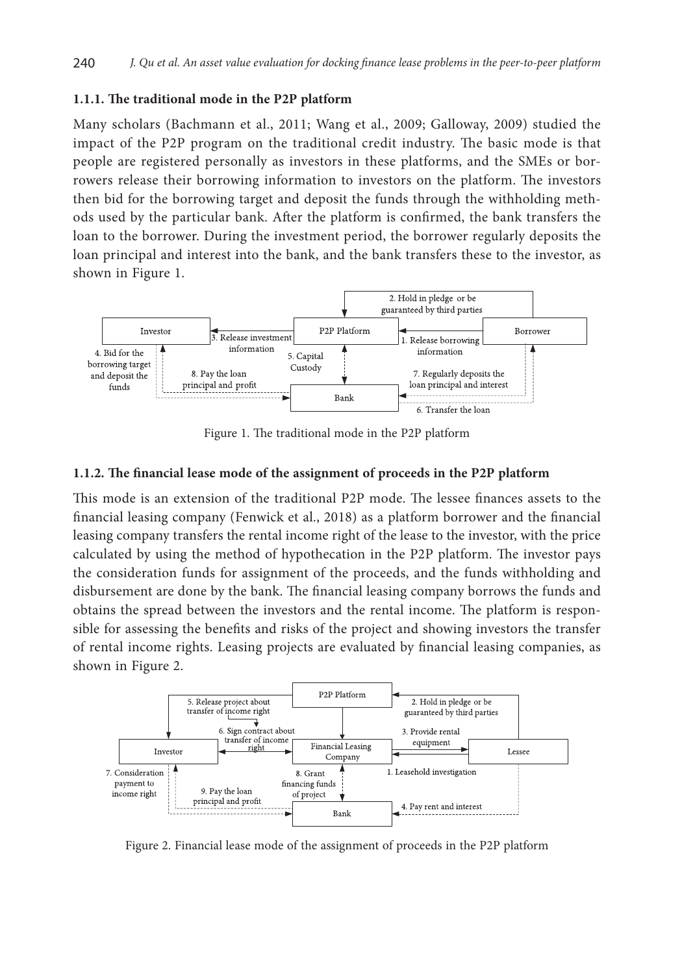### **1.1.1. The traditional mode in the P2P platform**

Many scholars (Bachmann et al., 2011; Wang et al., 2009; Galloway, 2009) studied the impact of the P2P program on the traditional credit industry. The basic mode is that people are registered personally as investors in these platforms, and the SMEs or borrowers release their borrowing information to investors on the platform. The investors then bid for the borrowing target and deposit the funds through the withholding methods used by the particular bank. After the platform is confirmed, the bank transfers the loan to the borrower. During the investment period, the borrower regularly deposits the loan principal and interest into the bank, and the bank transfers these to the investor, as shown in Figure 1.



Figure 1. The traditional mode in the P2P platform

### **1.1.2. The financial lease mode of the assignment of proceeds in the P2P platform**

This mode is an extension of the traditional P2P mode. The lessee finances assets to the financial leasing company (Fenwick et al., 2018) as a platform borrower and the financial leasing company transfers the rental income right of the lease to the investor, with the price calculated by using the method of hypothecation in the P2P platform. The investor pays the consideration funds for assignment of the proceeds, and the funds withholding and disbursement are done by the bank. The financial leasing company borrows the funds and obtains the spread between the investors and the rental income. The platform is responsible for assessing the benefits and risks of the project and showing investors the transfer of rental income rights. Leasing projects are evaluated by financial leasing companies, as shown in Figure 2.



Figure 2. Financial lease mode of the assignment of proceeds in the P2P platform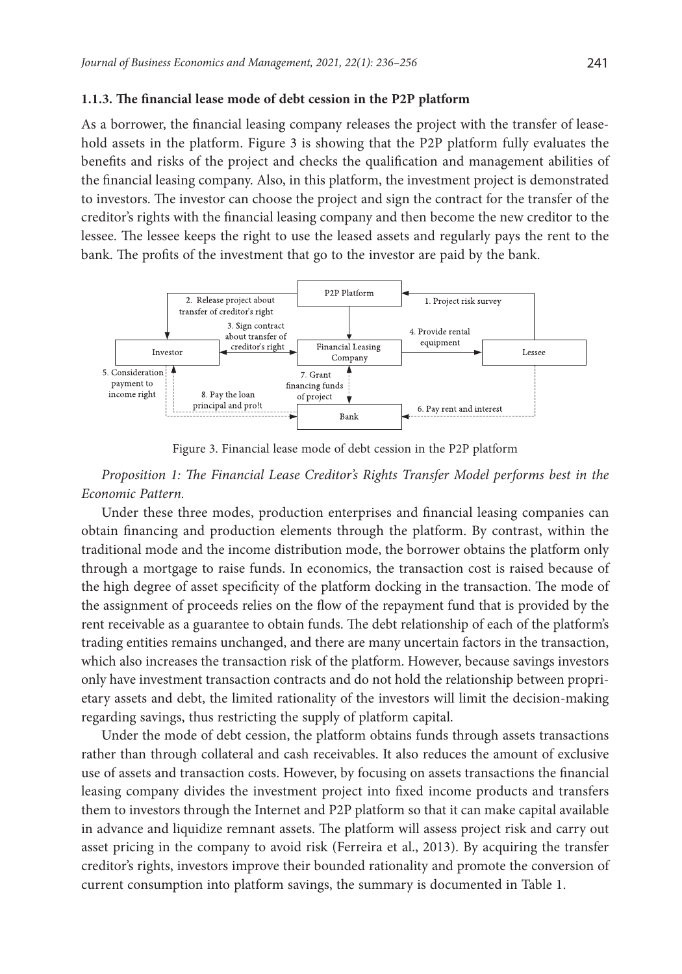#### **1.1.3. The financial lease mode of debt cession in the P2P platform**

As a borrower, the financial leasing company releases the project with the transfer of leasehold assets in the platform. Figure 3 is showing that the P2P platform fully evaluates the benefits and risks of the project and checks the qualification and management abilities of the financial leasing company. Also, in this platform, the investment project is demonstrated to investors. The investor can choose the project and sign the contract for the transfer of the creditor's rights with the financial leasing company and then become the new creditor to the lessee. The lessee keeps the right to use the leased assets and regularly pays the rent to the bank. The profits of the investment that go to the investor are paid by the bank.



Figure 3. Financial lease mode of debt cession in the P2P platform

*Proposition 1: The Financial Lease Creditor's Rights Transfer Model performs best in the Economic Pattern.* 

Under these three modes, production enterprises and financial leasing companies can obtain financing and production elements through the platform. By contrast, within the traditional mode and the income distribution mode, the borrower obtains the platform only through a mortgage to raise funds. In economics, the transaction cost is raised because of the high degree of asset specificity of the platform docking in the transaction. The mode of the assignment of proceeds relies on the flow of the repayment fund that is provided by the rent receivable as a guarantee to obtain funds. The debt relationship of each of the platform's trading entities remains unchanged, and there are many uncertain factors in the transaction, which also increases the transaction risk of the platform. However, because savings investors only have investment transaction contracts and do not hold the relationship between proprietary assets and debt, the limited rationality of the investors will limit the decision-making regarding savings, thus restricting the supply of platform capital.

Under the mode of debt cession, the platform obtains funds through assets transactions rather than through collateral and cash receivables. It also reduces the amount of exclusive use of assets and transaction costs. However, by focusing on assets transactions the financial leasing company divides the investment project into fixed income products and transfers them to investors through the Internet and P2P platform so that it can make capital available in advance and liquidize remnant assets. The platform will assess project risk and carry out asset pricing in the company to avoid risk (Ferreira et al., 2013). By acquiring the transfer creditor's rights, investors improve their bounded rationality and promote the conversion of current consumption into platform savings, the summary is documented in Table 1.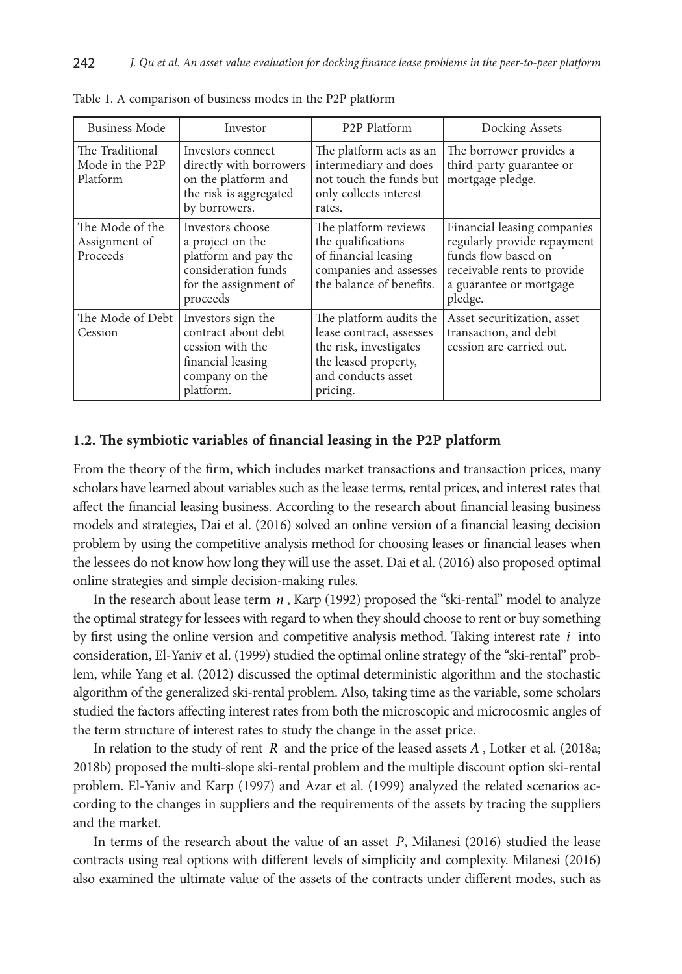| <b>Business Mode</b>                           | Investor                                                                                                                 | P <sub>2</sub> P Platform                                                                                                               | Docking Assets                                                                                                                                         |
|------------------------------------------------|--------------------------------------------------------------------------------------------------------------------------|-----------------------------------------------------------------------------------------------------------------------------------------|--------------------------------------------------------------------------------------------------------------------------------------------------------|
| The Traditional<br>Mode in the P2P<br>Platform | Investors connect<br>directly with borrowers<br>on the platform and<br>the risk is aggregated<br>by borrowers.           | The platform acts as an<br>intermediary and does<br>not touch the funds but<br>only collects interest<br>rates.                         | The borrower provides a<br>third-party guarantee or<br>mortgage pledge.                                                                                |
| The Mode of the<br>Assignment of<br>Proceeds   | Investors choose<br>a project on the<br>platform and pay the<br>consideration funds<br>for the assignment of<br>proceeds | The platform reviews<br>the qualifications<br>of financial leasing<br>companies and assesses<br>the balance of benefits.                | Financial leasing companies<br>regularly provide repayment<br>funds flow based on<br>receivable rents to provide<br>a guarantee or mortgage<br>pledge. |
| The Mode of Debt<br>Cession                    | Investors sign the<br>contract about debt<br>cession with the<br>financial leasing<br>company on the<br>platform.        | The platform audits the<br>lease contract, assesses<br>the risk, investigates<br>the leased property,<br>and conducts asset<br>pricing. | Asset securitization, asset<br>transaction, and debt<br>cession are carried out.                                                                       |

Table 1. A comparison of business modes in the P2P platform

### **1.2. The symbiotic variables of financial leasing in the P2P platform**

From the theory of the firm, which includes market transactions and transaction prices, many scholars have learned about variables such as the lease terms, rental prices, and interest rates that affect the financial leasing business. According to the research about financial leasing business models and strategies, Dai et al. (2016) solved an online version of a financial leasing decision problem by using the competitive analysis method for choosing leases or financial leases when the lessees do not know how long they will use the asset. Dai et al. (2016) also proposed optimal online strategies and simple decision-making rules.

In the research about lease term *n* , Karp (1992) proposed the "ski-rental" model to analyze the optimal strategy for lessees with regard to when they should choose to rent or buy something by first using the online version and competitive analysis method. Taking interest rate *i* into consideration, El-Yaniv et al. (1999) studied the optimal online strategy of the "ski-rental" problem, while Yang et al. (2012) discussed the optimal deterministic algorithm and the stochastic algorithm of the generalized ski-rental problem. Also, taking time as the variable, some scholars studied the factors affecting interest rates from both the microscopic and microcosmic angles of the term structure of interest rates to study the change in the asset price.

In relation to the study of rent *R* and the price of the leased assets *A* , Lotker et al. (2018a; 2018b) proposed the multi-slope ski-rental problem and the multiple discount option ski-rental problem. El-Yaniv and Karp (1997) and Azar et al. (1999) analyzed the related scenarios according to the changes in suppliers and the requirements of the assets by tracing the suppliers and the market.

In terms of the research about the value of an asset *P*, Milanesi (2016) studied the lease contracts using real options with different levels of simplicity and complexity. Milanesi (2016) also examined the ultimate value of the assets of the contracts under different modes, such as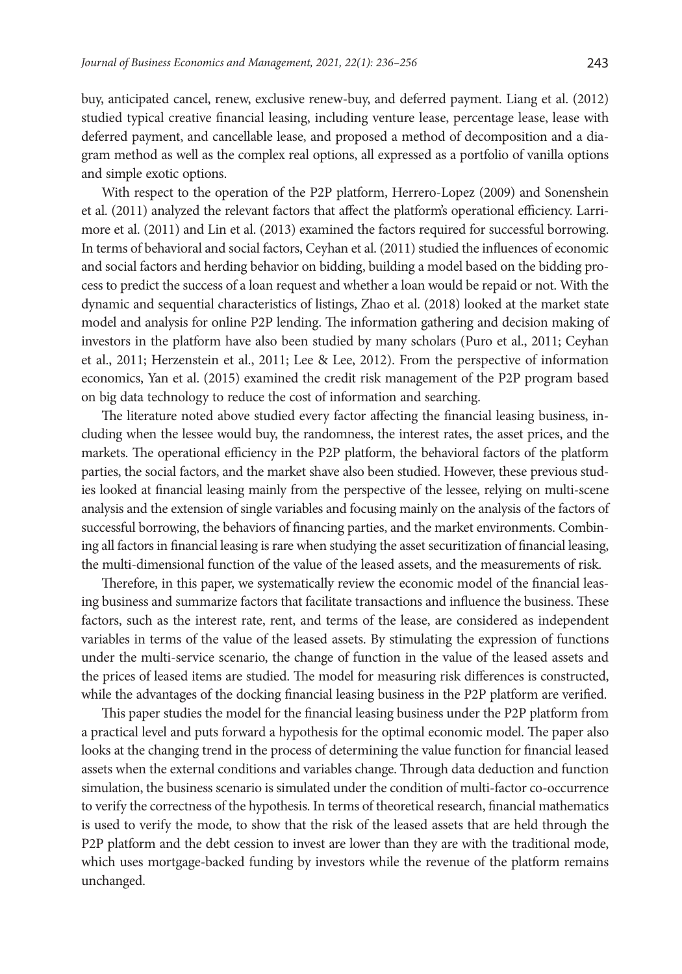buy, anticipated cancel, renew, exclusive renew-buy, and deferred payment. Liang et al. (2012) studied typical creative financial leasing, including venture lease, percentage lease, lease with deferred payment, and cancellable lease, and proposed a method of decomposition and a diagram method as well as the complex real options, all expressed as a portfolio of vanilla options and simple exotic options.

With respect to the operation of the P2P platform, Herrero-Lopez (2009) and Sonenshein et al. (2011) analyzed the relevant factors that affect the platform's operational efficiency. Larrimore et al. (2011) and Lin et al. (2013) examined the factors required for successful borrowing. In terms of behavioral and social factors, Ceyhan et al. (2011) studied the influences of economic and social factors and herding behavior on bidding, building a model based on the bidding process to predict the success of a loan request and whether a loan would be repaid or not. With the dynamic and sequential characteristics of listings, Zhao et al. (2018) looked at the market state model and analysis for online P2P lending. The information gathering and decision making of investors in the platform have also been studied by many scholars (Puro et al., 2011; Ceyhan et al., 2011; Herzenstein et al., 2011; Lee & Lee, 2012). From the perspective of information economics, Yan et al. (2015) examined the credit risk management of the P2P program based on big data technology to reduce the cost of information and searching.

The literature noted above studied every factor affecting the financial leasing business, including when the lessee would buy, the randomness, the interest rates, the asset prices, and the markets. The operational efficiency in the P2P platform, the behavioral factors of the platform parties, the social factors, and the market shave also been studied. However, these previous studies looked at financial leasing mainly from the perspective of the lessee, relying on multi-scene analysis and the extension of single variables and focusing mainly on the analysis of the factors of successful borrowing, the behaviors of financing parties, and the market environments. Combining all factors in financial leasing is rare when studying the asset securitization of financial leasing, the multi-dimensional function of the value of the leased assets, and the measurements of risk.

Therefore, in this paper, we systematically review the economic model of the financial leasing business and summarize factors that facilitate transactions and influence the business. These factors, such as the interest rate, rent, and terms of the lease, are considered as independent variables in terms of the value of the leased assets. By stimulating the expression of functions under the multi-service scenario, the change of function in the value of the leased assets and the prices of leased items are studied. The model for measuring risk differences is constructed, while the advantages of the docking financial leasing business in the P2P platform are verified.

This paper studies the model for the financial leasing business under the P2P platform from a practical level and puts forward a hypothesis for the optimal economic model. The paper also looks at the changing trend in the process of determining the value function for financial leased assets when the external conditions and variables change. Through data deduction and function simulation, the business scenario is simulated under the condition of multi-factor co-occurrence to verify the correctness of the hypothesis. In terms of theoretical research, financial mathematics is used to verify the mode, to show that the risk of the leased assets that are held through the P2P platform and the debt cession to invest are lower than they are with the traditional mode, which uses mortgage-backed funding by investors while the revenue of the platform remains unchanged.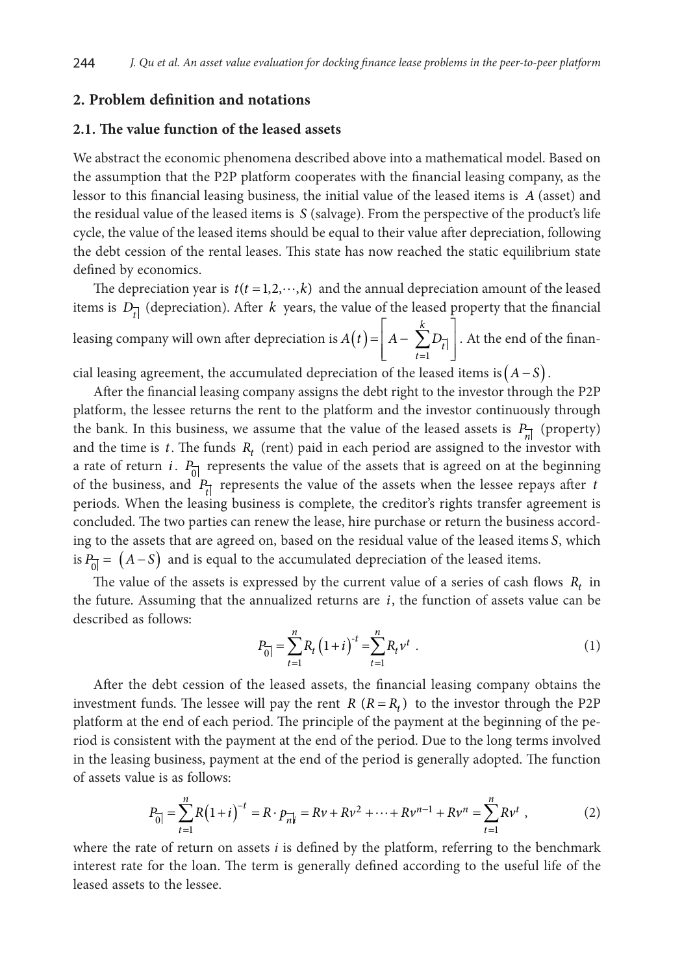### **2. Problem definition and notations**

#### **2.1. The value function of the leased assets**

We abstract the economic phenomena described above into a mathematical model. Based on the assumption that the P2P platform cooperates with the financial leasing company, as the lessor to this financial leasing business, the initial value of the leased items is *A* (asset) and the residual value of the leased items is *S* (salvage). From the perspective of the product's life cycle, the value of the leased items should be equal to their value after depreciation, following the debt cession of the rental leases. This state has now reached the static equilibrium state defined by economics.

The depreciation year is  $t(t = 1, 2, \dots, k)$  and the annual depreciation amount of the leased items is  $D_{\vec{l}}$  (depreciation). After *k* years, the value of the leased property that the financial leasing company will own after depreciation is  $A(t) = \left| A - \sum_{i=1}^{k} D_{i} \right|$  $\left| A - \sum_{t=1} D_{\overline{t}} \right|$  $\begin{bmatrix} t=1 \end{bmatrix}$  $=\begin{vmatrix} A - \sum \end{vmatrix}$  $=1$ *k*  $\sum_{t=1}$ <sup>t</sup>  $A(t) = |A - \sum D_{\overline{t}}|$ . At the end of the finan-

cial leasing agreement, the accumulated depreciation of the leased items is $(A - S)$ .

After the financial leasing company assigns the debt right to the investor through the P2P platform, the lessee returns the rent to the platform and the investor continuously through the bank. In this business, we assume that the value of the leased assets is  $P_{n}$  (property) and the time is  $t$ . The funds  $R_t$  (rent) paid in each period are assigned to the investor with a rate of return *i*.  $P_{\text{ol}}$  represents the value of the assets that is agreed on at the beginning of the business, and  $P_{\vec{t}}$  represents the value of the assets when the lessee repays after *t* periods. When the leasing business is complete, the creditor's rights transfer agreement is concluded. The two parties can renew the lease, hire purchase or return the business according to the assets that are agreed on, based on the residual value of the leased items *S*, which is  $P_{\overline{0}} = (A - S)$  and is equal to the accumulated depreciation of the leased items.

The value of the assets is expressed by the current value of a series of cash flows  $R_t$  in the future. Assuming that the annualized returns are  $i$ , the function of assets value can be described as follows:

$$
P_{\overline{0}} = \sum_{t=1}^{n} R_t \left( 1 + i \right)^{-t} = \sum_{t=1}^{n} R_t v^t \tag{1}
$$

After the debt cession of the leased assets, the financial leasing company obtains the investment funds. The lessee will pay the rent *R*  $(R = R_t)$  to the investor through the P2P platform at the end of each period. The principle of the payment at the beginning of the period is consistent with the payment at the end of the period. Due to the long terms involved in the leasing business, payment at the end of the period is generally adopted. The function of assets value is as follows:

$$
P_{\overline{0}} = \sum_{t=1}^{n} R(1+i)^{-t} = R \cdot p_{\overline{n}|i} = Rv + Rv^2 + \dots + Rv^{n-1} + Rv^n = \sum_{t=1}^{n} Rv^t,
$$
 (2)

where the rate of return on assets *i* is defined by the platform, referring to the benchmark interest rate for the loan. The term is generally defined according to the useful life of the leased assets to the lessee.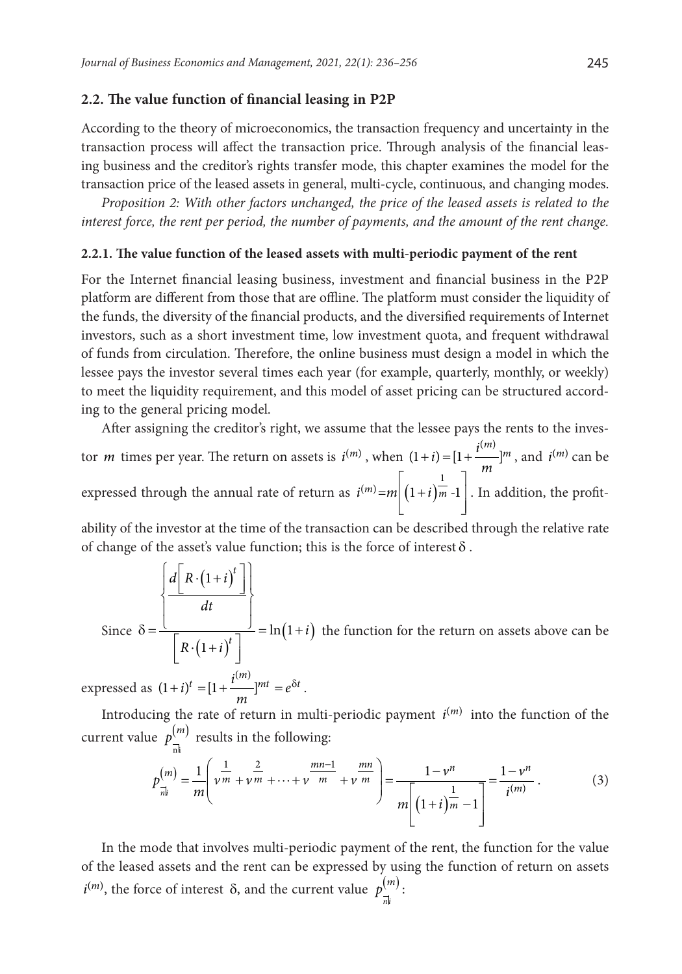#### **2.2. The value function of financial leasing in P2P**

According to the theory of microeconomics, the transaction frequency and uncertainty in the transaction process will affect the transaction price. Through analysis of the financial leasing business and the creditor's rights transfer mode, this chapter examines the model for the transaction price of the leased assets in general, multi-cycle, continuous, and changing modes.

*Proposition 2: With other factors unchanged, the price of the leased assets is related to the interest force, the rent per period, the number of payments, and the amount of the rent change.*

#### **2.2.1. The value function of the leased assets with multi-periodic payment of the rent**

For the Internet financial leasing business, investment and financial business in the P2P platform are different from those that are offline. The platform must consider the liquidity of the funds, the diversity of the financial products, and the diversified requirements of Internet investors, such as a short investment time, low investment quota, and frequent withdrawal of funds from circulation. Therefore, the online business must design a model in which the lessee pays the investor several times each year (for example, quarterly, monthly, or weekly) to meet the liquidity requirement, and this model of asset pricing can be structured according to the general pricing model.

After assigning the creditor's right, we assume that the lessee pays the rents to the investor *m* times per year. The return on assets is  $i^{(m)}$ , when  $(1+i) = [1 + \frac{i^{(m)}}{m}]^m$ , and  $i^{(m)}$  can be expressed through the annual rate of return as  $i^{(m)} = m \left| \left( 1 + i \right)_{m=1}^{\frac{1}{m}} \right|$  $\begin{bmatrix} 1 & 1 \\ 1 & 1 \end{bmatrix}$  $i^{(m)} = m \left( 1 + i \right) \frac{1}{m}$  -1 . In addition, the profit-

ability of the investor at the time of the transaction can be described through the relative rate of change of the asset's value function; this is the force of interest  $\delta$ .

Since 
$$
\delta = \frac{\left\{ \frac{d\left[R \cdot (1+i)^t\right]}{dt} \right\}}{\left[R \cdot (1+i)^t\right]} = \ln(1+i)
$$
 the function for the return on assets above can be

expressed as  $(1 + i)^t = [1 + \frac{i^{(m)}}{m}]^{mt} = e^{\delta t}$ .

Introducing the rate of return in multi-periodic payment  $i^{(m)}$  into the function of the current value  $p_{\overrightarrow{n}|}^{(m)}$  results in the following:

$$
p_{\overline{n}|}^{(m)} = \frac{1}{m} \left( \nu^{\frac{1}{m}} + \nu^{\frac{2}{m}} + \dots + \nu^{\frac{mn-1}{m}} + \nu^{\frac{mn}{m}} \right) = \frac{1 - \nu^n}{m \left[ \left( 1 + i \right)^{\frac{1}{m}} - 1 \right]} = \frac{1 - \nu^n}{i^{(m)}}.
$$
 (3)

In the mode that involves multi-periodic payment of the rent, the function for the value of the leased assets and the rent can be expressed by using the function of return on assets  $i^{(m)}$ , the force of interest  $\delta$ , and the current value  $p_{-}^{(m)}$ : *ni*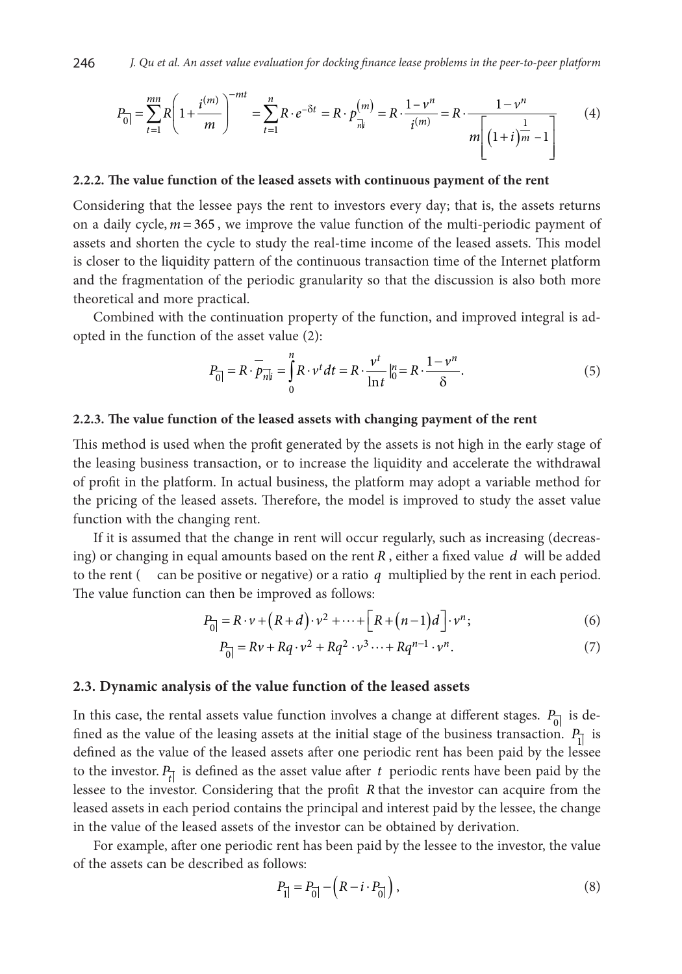$$
P_{\overline{0}} = \sum_{t=1}^{mn} R \left( 1 + \frac{i^{(m)}}{m} \right)^{-mt} = \sum_{t=1}^{n} R \cdot e^{-\delta t} = R \cdot p_{\overline{n}|t}^{(m)} = R \cdot \frac{1 - \nu^n}{i^{(m)}} = R \cdot \frac{1 - \nu^n}{m \left[ \left( 1 + i \right)^{\frac{1}{m}} - 1 \right]}
$$
(4)

#### **2.2.2. The value function of the leased assets with continuous payment of the rent**

Considering that the lessee pays the rent to investors every day; that is, the assets returns on a daily cycle,  $m = 365$ , we improve the value function of the multi-periodic payment of assets and shorten the cycle to study the real-time income of the leased assets. This model is closer to the liquidity pattern of the continuous transaction time of the Internet platform and the fragmentation of the periodic granularity so that the discussion is also both more theoretical and more practical.

Combined with the continuation property of the function, and improved integral is adopted in the function of the asset value (2):

$$
P_{\overline{0}} = R \cdot \overline{p}_{n\overline{i}} = \int_{0}^{n} R \cdot v^t dt = R \cdot \frac{v^t}{\ln t} \Big|_{0}^{n} = R \cdot \frac{1 - v^n}{\delta}.
$$
 (5)

#### **2.2.3. The value function of the leased assets with changing payment of the rent**

This method is used when the profit generated by the assets is not high in the early stage of the leasing business transaction, or to increase the liquidity and accelerate the withdrawal of profit in the platform. In actual business, the platform may adopt a variable method for the pricing of the leased assets. Therefore, the model is improved to study the asset value function with the changing rent.

If it is assumed that the change in rent will occur regularly, such as increasing (decreasing) or changing in equal amounts based on the rent *R* , either a fixed value *d* will be added to the rent ( can be positive or negative) or a ratio *q* multiplied by the rent in each period. The value function can then be improved as follows:

$$
P_{\overline{0}} = R \cdot \nu + (R + d) \cdot \nu^2 + \dots + \left[ R + (n-1)d \right] \cdot \nu^n; \tag{6}
$$

$$
P_{\overline{0}} = Rv + Rq \cdot v^2 + Rq^2 \cdot v^3 \cdots + Rq^{n-1} \cdot v^n.
$$
 (7)

#### **2.3. Dynamic analysis of the value function of the leased assets**

In this case, the rental assets value function involves a change at different stages.  $P_{\overline{0}}$  is defined as the value of the leasing assets at the initial stage of the business transaction.  $P_{\overline{1}}$  is defined as the value of the leased assets after one periodic rent has been paid by the lessee to the investor.  $P_{\tau}$  is defined as the asset value after  $t$  periodic rents have been paid by the lessee to the investor. Considering that the profit *R* that the investor can acquire from the leased assets in each period contains the principal and interest paid by the lessee, the change in the value of the leased assets of the investor can be obtained by derivation.

For example, after one periodic rent has been paid by the lessee to the investor, the value of the assets can be described as follows:

$$
P_{\overline{1}} = P_{\overline{0}} - (R - i \cdot P_{\overline{0}}),
$$
\n(8)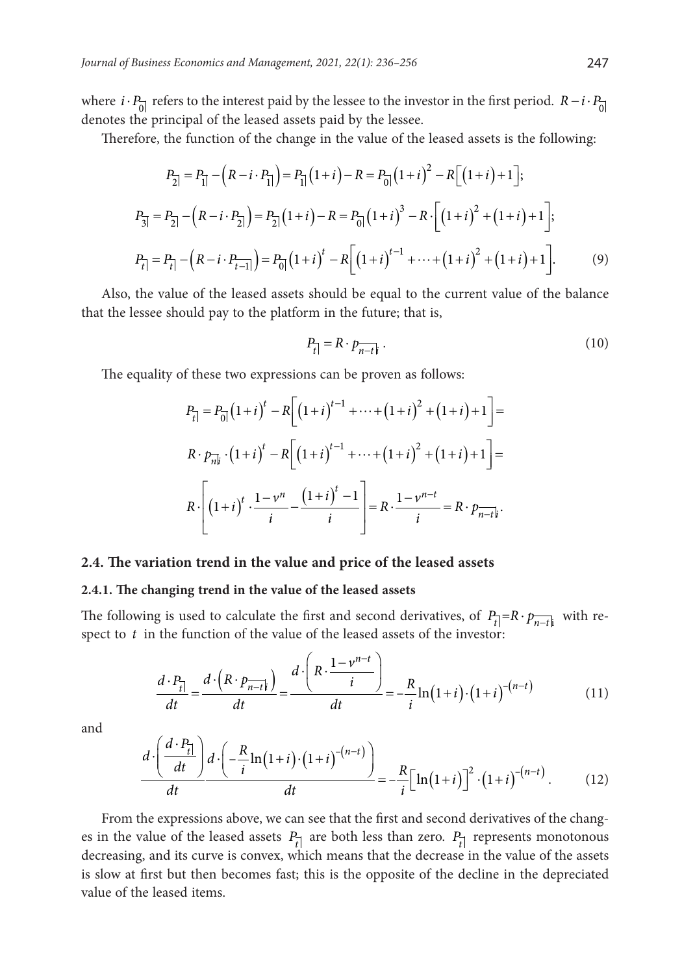where *i* · *P*<sub>o</sub> refers to the interest paid by the lessee to the investor in the first period. *R* − *i* · *P*<sub>o</sub> denotes the principal of the leased assets paid by the lessee.

Therefore, the function of the change in the value of the leased assets is the following:

$$
P_{2} = P_{1} - (R - i \cdot P_{1}) = P_{1} (1 + i) - R = P_{0} (1 + i)^{2} - R \Big[ (1 + i) + 1 \Big];
$$
  
\n
$$
P_{3} = P_{2} - (R - i \cdot P_{2}) = P_{2} (1 + i) - R = P_{0} (1 + i)^{3} - R \cdot \Big[ (1 + i)^{2} + (1 + i) + 1 \Big];
$$
  
\n
$$
P_{t} = P_{t} - (R - i \cdot P_{t-1}) = P_{0} (1 + i)^{t} - R \Big[ (1 + i)^{t-1} + \dots + (1 + i)^{2} + (1 + i) + 1 \Big].
$$
 (9)

Also, the value of the leased assets should be equal to the current value of the balance that the lessee should pay to the platform in the future; that is,

$$
P_{\vec{t}} = R \cdot p_{\vec{n} - t\vec{k}} \tag{10}
$$

The equality of these two expressions can be proven as follows:

$$
P_{t}| = P_{0} \left( 1 + i \right)^{t} - R \left[ \left( 1 + i \right)^{t-1} + \dots + \left( 1 + i \right)^{2} + \left( 1 + i \right) + 1 \right] =
$$
\n
$$
R \cdot p_{n|t}^{-} \cdot \left( 1 + i \right)^{t} - R \left[ \left( 1 + i \right)^{t-1} + \dots + \left( 1 + i \right)^{2} + \left( 1 + i \right) + 1 \right] =
$$
\n
$$
R \cdot \left[ \left( 1 + i \right)^{t} \cdot \frac{1 - \nu^{n}}{i} - \frac{\left( 1 + i \right)^{t} - 1}{i} \right] = R \cdot \frac{1 - \nu^{n-t}}{i} = R \cdot p_{n-t|t}.
$$

#### **2.4. The variation trend in the value and price of the leased assets**

#### **2.4.1. The changing trend in the value of the leased assets**

The following is used to calculate the first and second derivatives, of  $P_t = R \cdot p_{n-t}$  with respect to *t* in the function of the value of the leased assets of the investor:

$$
\frac{d \cdot P_{\overline{t}}}{dt} = \frac{d \cdot \left(R \cdot p_{\overline{n-t}}\right)}{dt} = \frac{d \cdot \left(R \cdot \frac{1-\nu^{n-t}}{i}\right)}{dt} = -\frac{R}{i} \ln\left(1+i\right) \cdot \left(1+i\right)^{-(n-t)}
$$
(11)

and

$$
\frac{d \cdot \left(\frac{d \cdot P_{\overline{i}}}{dt}\right) d \cdot \left(-\frac{R}{i} \ln\left(1+i\right) \cdot \left(1+i\right)^{-(n-t)}\right)}{dt} = -\frac{R}{i} \left[\ln\left(1+i\right)\right]^2 \cdot \left(1+i\right)^{-(n-t)}.\tag{12}
$$

From the expressions above, we can see that the first and second derivatives of the changes in the value of the leased assets  $P_{t}$  are both less than zero.  $P_{t}$  represents monotonous decreasing, and its curve is convex, which means that the decrease in the value of the assets is slow at first but then becomes fast; this is the opposite of the decline in the depreciated value of the leased items.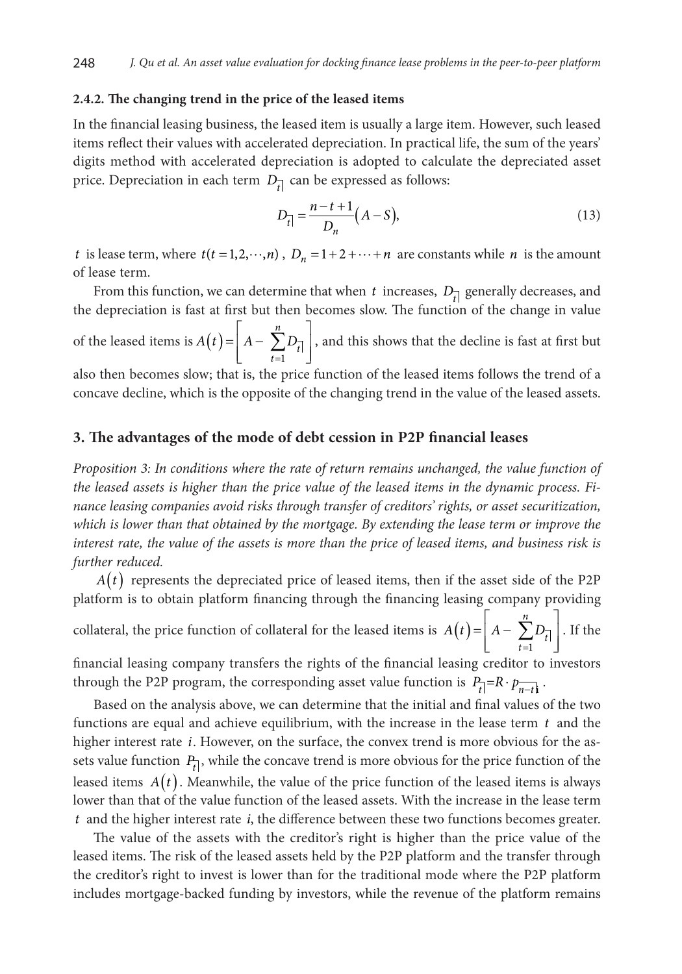#### **2.4.2. The changing trend in the price of the leased items**

In the financial leasing business, the leased item is usually a large item. However, such leased items reflect their values with accelerated depreciation. In practical life, the sum of the years' digits method with accelerated depreciation is adopted to calculate the depreciated asset price. Depreciation in each term  $D_{\vec{t}}|$  can be expressed as follows:

$$
D_{\vec{t}} = \frac{n - t + 1}{D_n} (A - S),
$$
\n(13)

*t* is lease term, where  $t(t = 1, 2, \dots, n)$ ,  $D_n = 1 + 2 + \dots + n$  are constants while *n* is the amount of lease term.

From this function, we can determine that when *t* increases,  $D_{\vec{l}}$  generally decreases, and the depreciation is fast at first but then becomes slow. The function of the change in value of the leased items is  $A(t) = \left| A - \sum_{i=1}^{n} D_{\overline{i}} \right|$  $\left| A - \sum_{t=1}^{n} D_{\overline{t}} \right|$  $\begin{bmatrix} t=1 \end{bmatrix}$  $=$   $A - \sum$  $=1$ *n*  $\sum_{t=1}^{L} t$  $A(t) = |A - \sum D_{\overline{t}}|$ , and this shows that the decline is fast at first but

also then becomes slow; that is, the price function of the leased items follows the trend of a concave decline, which is the opposite of the changing trend in the value of the leased assets.

### **3. The advantages of the mode of debt cession in P2P financial leases**

*Proposition 3: In conditions where the rate of return remains unchanged, the value function of the leased assets is higher than the price value of the leased items in the dynamic process. Finance leasing companies avoid risks through transfer of creditors' rights, or asset securitization, which is lower than that obtained by the mortgage. By extending the lease term or improve the interest rate, the value of the assets is more than the price of leased items, and business risk is further reduced.*

 $A(t)$  represents the depreciated price of leased items, then if the asset side of the P2P platform is to obtain platform financing through the financing leasing company providing collateral, the price function of collateral for the leased items is  $A(t) = \begin{vmatrix} A - \sum_{i=1}^{n} A_i \end{vmatrix}$  $\left| A - \sum_{t=1} D_{\overline{t}} \right|$  $\begin{bmatrix} t=1 \end{bmatrix}$  $=\begin{vmatrix} A - \sum \end{vmatrix}$  $=1$ *n*  $\sum_{t=1}$  $A(t) = |A - \sum D_{\overline{t}}|$ . If the

financial leasing company transfers the rights of the financial leasing creditor to investors through the P2P program, the corresponding asset value function is  $P_{\overline{t}} = R \cdot p_{\overline{n-t}}$ .

Based on the analysis above, we can determine that the initial and final values of the two functions are equal and achieve equilibrium, with the increase in the lease term *t* and the higher interest rate *i*. However, on the surface, the convex trend is more obvious for the assets value function  $P_{\overline{t}}$ , while the concave trend is more obvious for the price function of the leased items  $A(t)$ . Meanwhile, the value of the price function of the leased items is always lower than that of the value function of the leased assets. With the increase in the lease term *t* and the higher interest rate *i*, the difference between these two functions becomes greater.

The value of the assets with the creditor's right is higher than the price value of the leased items. The risk of the leased assets held by the P2P platform and the transfer through the creditor's right to invest is lower than for the traditional mode where the P2P platform includes mortgage-backed funding by investors, while the revenue of the platform remains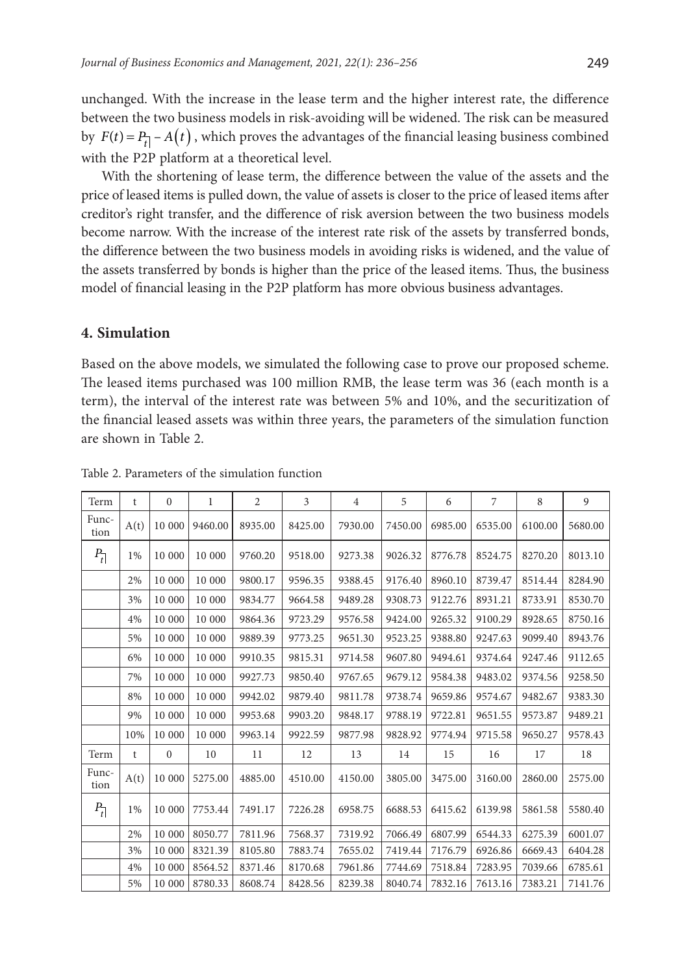unchanged. With the increase in the lease term and the higher interest rate, the difference between the two business models in risk-avoiding will be widened. The risk can be measured by  $F(t) = P_{t} - A(t)$ , which proves the advantages of the financial leasing business combined with the P2P platform at a theoretical level.

With the shortening of lease term, the difference between the value of the assets and the price of leased items is pulled down, the value of assets is closer to the price of leased items after creditor's right transfer, and the difference of risk aversion between the two business models become narrow. With the increase of the interest rate risk of the assets by transferred bonds, the difference between the two business models in avoiding risks is widened, and the value of the assets transferred by bonds is higher than the price of the leased items. Thus, the business model of financial leasing in the P2P platform has more obvious business advantages.

### **4. Simulation**

Based on the above models, we simulated the following case to prove our proposed scheme. The leased items purchased was 100 million RMB, the lease term was 36 (each month is a term), the interval of the interest rate was between 5% and 10%, and the securitization of the financial leased assets was within three years, the parameters of the simulation function are shown in Table 2.

| Term               | t    | $\mathbf{0}$ | 1       | $\overline{2}$ | 3       | $\overline{4}$ | 5       | 6       | 7       | 8       | 9       |
|--------------------|------|--------------|---------|----------------|---------|----------------|---------|---------|---------|---------|---------|
| Func-<br>tion      | A(t) | 10 000       | 9460.00 | 8935.00        | 8425.00 | 7930.00        | 7450.00 | 6985.00 | 6535.00 | 6100.00 | 5680.00 |
| $P_{\overline{t}}$ | 1%   | 10 000       | 10 000  | 9760.20        | 9518.00 | 9273.38        | 9026.32 | 8776.78 | 8524.75 | 8270.20 | 8013.10 |
|                    | 2%   | 10 000       | 10 000  | 9800.17        | 9596.35 | 9388.45        | 9176.40 | 8960.10 | 8739.47 | 8514.44 | 8284.90 |
|                    | 3%   | 10 000       | 10 000  | 9834.77        | 9664.58 | 9489.28        | 9308.73 | 9122.76 | 8931.21 | 8733.91 | 8530.70 |
|                    | 4%   | 10 000       | 10 000  | 9864.36        | 9723.29 | 9576.58        | 9424.00 | 9265.32 | 9100.29 | 8928.65 | 8750.16 |
|                    | 5%   | 10 000       | 10 000  | 9889.39        | 9773.25 | 9651.30        | 9523.25 | 9388.80 | 9247.63 | 9099.40 | 8943.76 |
|                    | 6%   | 10 000       | 10 000  | 9910.35        | 9815.31 | 9714.58        | 9607.80 | 9494.61 | 9374.64 | 9247.46 | 9112.65 |
|                    | 7%   | 10 000       | 10 000  | 9927.73        | 9850.40 | 9767.65        | 9679.12 | 9584.38 | 9483.02 | 9374.56 | 9258.50 |
|                    | 8%   | 10 000       | 10 000  | 9942.02        | 9879.40 | 9811.78        | 9738.74 | 9659.86 | 9574.67 | 9482.67 | 9383.30 |
|                    | 9%   | 10 000       | 10 000  | 9953.68        | 9903.20 | 9848.17        | 9788.19 | 9722.81 | 9651.55 | 9573.87 | 9489.21 |
|                    | 10%  | 10 000       | 10 000  | 9963.14        | 9922.59 | 9877.98        | 9828.92 | 9774.94 | 9715.58 | 9650.27 | 9578.43 |
| Term               | t    | $\mathbf{0}$ | 10      | 11             | 12      | 13             | 14      | 15      | 16      | 17      | 18      |
| Func-<br>tion      | A(t) | 10 000       | 5275.00 | 4885.00        | 4510.00 | 4150.00        | 3805.00 | 3475.00 | 3160.00 | 2860.00 | 2575.00 |
| $P_{\overline{t}}$ | 1%   | 10 000       | 7753.44 | 7491.17        | 7226.28 | 6958.75        | 6688.53 | 6415.62 | 6139.98 | 5861.58 | 5580.40 |
|                    | 2%   | 10 000       | 8050.77 | 7811.96        | 7568.37 | 7319.92        | 7066.49 | 6807.99 | 6544.33 | 6275.39 | 6001.07 |
|                    | 3%   | 10 000       | 8321.39 | 8105.80        | 7883.74 | 7655.02        | 7419.44 | 7176.79 | 6926.86 | 6669.43 | 6404.28 |
|                    | 4%   | 10 000       | 8564.52 | 8371.46        | 8170.68 | 7961.86        | 7744.69 | 7518.84 | 7283.95 | 7039.66 | 6785.61 |
|                    | 5%   | 10 000       | 8780.33 | 8608.74        | 8428.56 | 8239.38        | 8040.74 | 7832.16 | 7613.16 | 7383.21 | 7141.76 |

Table 2. Parameters of the simulation function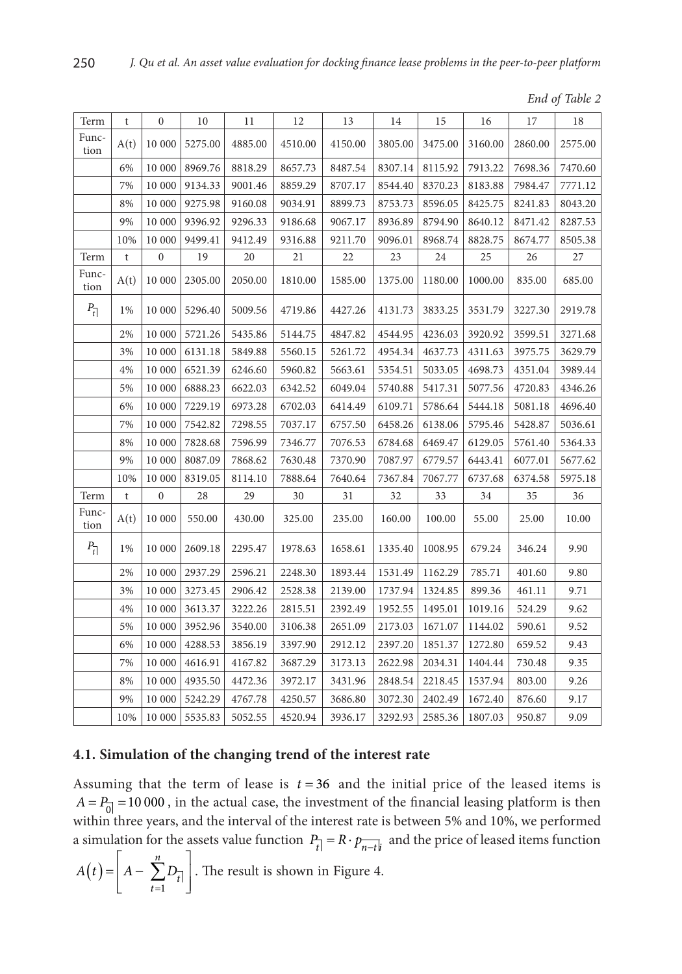|  | End of Table 2 |
|--|----------------|
|--|----------------|

| Term               | t    | $\boldsymbol{0}$ | 10      | 11      | 12      | 13      | 14      | 15      | 16      | 17      | 18      |
|--------------------|------|------------------|---------|---------|---------|---------|---------|---------|---------|---------|---------|
| Func-<br>tion      | A(t) | 10 000           | 5275.00 | 4885.00 | 4510.00 | 4150.00 | 3805.00 | 3475.00 | 3160.00 | 2860.00 | 2575.00 |
|                    | 6%   | 10 000           | 8969.76 | 8818.29 | 8657.73 | 8487.54 | 8307.14 | 8115.92 | 7913.22 | 7698.36 | 7470.60 |
|                    | 7%   | 10 000           | 9134.33 | 9001.46 | 8859.29 | 8707.17 | 8544.40 | 8370.23 | 8183.88 | 7984.47 | 7771.12 |
|                    | 8%   | 10 000           | 9275.98 | 9160.08 | 9034.91 | 8899.73 | 8753.73 | 8596.05 | 8425.75 | 8241.83 | 8043.20 |
|                    | 9%   | 10 000           | 9396.92 | 9296.33 | 9186.68 | 9067.17 | 8936.89 | 8794.90 | 8640.12 | 8471.42 | 8287.53 |
|                    | 10%  | 10 000           | 9499.41 | 9412.49 | 9316.88 | 9211.70 | 9096.01 | 8968.74 | 8828.75 | 8674.77 | 8505.38 |
| Term               | t    | $\boldsymbol{0}$ | 19      | 20      | 21      | 22      | 23      | 24      | 25      | 26      | 27      |
| Func-<br>tion      | A(t) | 10 000           | 2305.00 | 2050.00 | 1810.00 | 1585.00 | 1375.00 | 1180.00 | 1000.00 | 835.00  | 685.00  |
| $P_{\overline{t}}$ | 1%   | 10 000           | 5296.40 | 5009.56 | 4719.86 | 4427.26 | 4131.73 | 3833.25 | 3531.79 | 3227.30 | 2919.78 |
|                    | 2%   | 10 000           | 5721.26 | 5435.86 | 5144.75 | 4847.82 | 4544.95 | 4236.03 | 3920.92 | 3599.51 | 3271.68 |
|                    | 3%   | 10 000           | 6131.18 | 5849.88 | 5560.15 | 5261.72 | 4954.34 | 4637.73 | 4311.63 | 3975.75 | 3629.79 |
|                    | 4%   | 10 000           | 6521.39 | 6246.60 | 5960.82 | 5663.61 | 5354.51 | 5033.05 | 4698.73 | 4351.04 | 3989.44 |
|                    | 5%   | 10 000           | 6888.23 | 6622.03 | 6342.52 | 6049.04 | 5740.88 | 5417.31 | 5077.56 | 4720.83 | 4346.26 |
|                    | 6%   | 10 000           | 7229.19 | 6973.28 | 6702.03 | 6414.49 | 6109.71 | 5786.64 | 5444.18 | 5081.18 | 4696.40 |
|                    | 7%   | 10 000           | 7542.82 | 7298.55 | 7037.17 | 6757.50 | 6458.26 | 6138.06 | 5795.46 | 5428.87 | 5036.61 |
|                    | 8%   | 10 000           | 7828.68 | 7596.99 | 7346.77 | 7076.53 | 6784.68 | 6469.47 | 6129.05 | 5761.40 | 5364.33 |
|                    | 9%   | 10 000           | 8087.09 | 7868.62 | 7630.48 | 7370.90 | 7087.97 | 6779.57 | 6443.41 | 6077.01 | 5677.62 |
|                    | 10%  | 10 000           | 8319.05 | 8114.10 | 7888.64 | 7640.64 | 7367.84 | 7067.77 | 6737.68 | 6374.58 | 5975.18 |
| Term               | t    | $\boldsymbol{0}$ | 28      | 29      | 30      | 31      | 32      | 33      | 34      | 35      | 36      |
| Func-<br>tion      | A(t) | 10 000           | 550.00  | 430.00  | 325.00  | 235.00  | 160.00  | 100.00  | 55.00   | 25.00   | 10.00   |
| $P_{\overline{t}}$ | 1%   | 10 000           | 2609.18 | 2295.47 | 1978.63 | 1658.61 | 1335.40 | 1008.95 | 679.24  | 346.24  | 9.90    |
|                    | 2%   | 10 000           | 2937.29 | 2596.21 | 2248.30 | 1893.44 | 1531.49 | 1162.29 | 785.71  | 401.60  | 9.80    |
|                    | 3%   | 10 000           | 3273.45 | 2906.42 | 2528.38 | 2139.00 | 1737.94 | 1324.85 | 899.36  | 461.11  | 9.71    |
|                    | 4%   | 10 000           | 3613.37 | 3222.26 | 2815.51 | 2392.49 | 1952.55 | 1495.01 | 1019.16 | 524.29  | 9.62    |
|                    | 5%   | 10 000           | 3952.96 | 3540.00 | 3106.38 | 2651.09 | 2173.03 | 1671.07 | 1144.02 | 590.61  | 9.52    |
|                    | 6%   | 10 000           | 4288.53 | 3856.19 | 3397.90 | 2912.12 | 2397.20 | 1851.37 | 1272.80 | 659.52  | 9.43    |
|                    | 7%   | 10 000           | 4616.91 | 4167.82 | 3687.29 | 3173.13 | 2622.98 | 2034.31 | 1404.44 | 730.48  | 9.35    |
|                    | 8%   | 10 000           | 4935.50 | 4472.36 | 3972.17 | 3431.96 | 2848.54 | 2218.45 | 1537.94 | 803.00  | 9.26    |
|                    | 9%   | 10 000           | 5242.29 | 4767.78 | 4250.57 | 3686.80 | 3072.30 | 2402.49 | 1672.40 | 876.60  | 9.17    |
|                    | 10%  | 10 000           | 5535.83 | 5052.55 | 4520.94 | 3936.17 | 3292.93 | 2585.36 | 1807.03 | 950.87  | 9.09    |

# **4.1. Simulation of the changing trend of the interest rate**

Assuming that the term of lease is  $t = 36$  and the initial price of the leased items is  $A = P_{\overline{0}} = 10000$ , in the actual case, the investment of the financial leasing platform is then within three years, and the interval of the interest rate is between 5% and 10%, we performed a simulation for the assets value function  $P_{\overline{t}} = R \cdot p_{\overline{n-t}}$  and the price of leased items function

$$
A(t) = \left[ A - \sum_{t=1}^{n} D_{\overline{t}} \right].
$$
 The result is shown in Figure 4.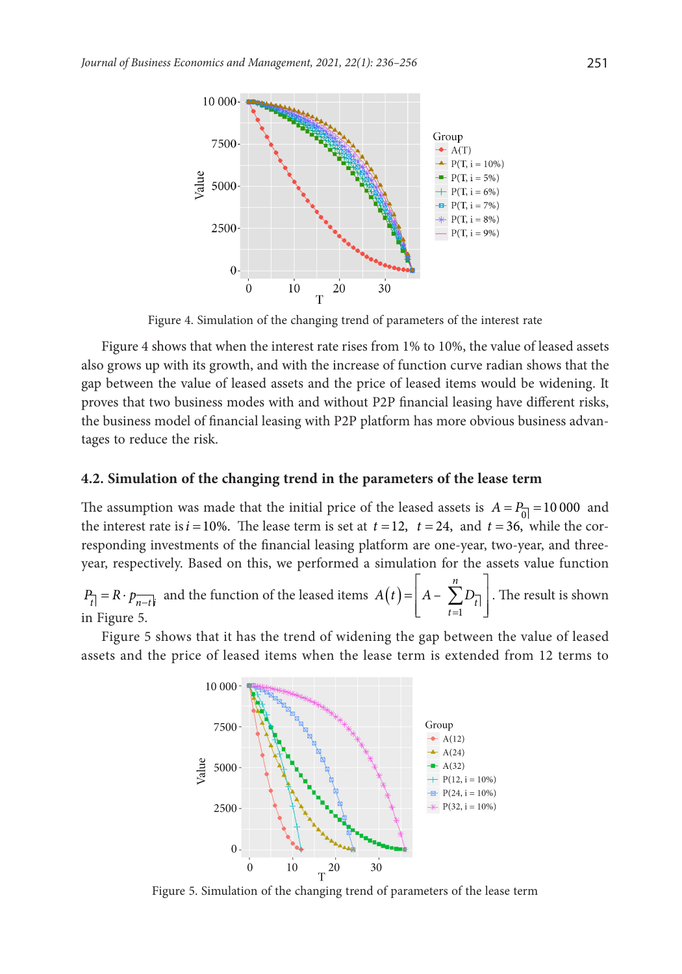

Figure 4. Simulation of the changing trend of parameters of the interest rate

Figure 4 shows that when the interest rate rises from 1% to 10%, the value of leased assets also grows up with its growth, and with the increase of function curve radian shows that the gap between the value of leased assets and the price of leased items would be widening. It proves that two business modes with and without P2P financial leasing have different risks, the business model of financial leasing with P2P platform has more obvious business advantages to reduce the risk.

#### **4.2. Simulation of the changing trend in the parameters of the lease term**

The assumption was made that the initial price of the leased assets is  $A = P_{0} = 10000$  and the interest rate is  $i = 10\%$ . The lease term is set at  $t = 12$ ,  $t = 24$ , and  $t = 36$ , while the corresponding investments of the financial leasing platform are one-year, two-year, and threeyear, respectively. Based on this, we performed a simulation for the assets value function

 $P_{t|} = R \cdot p_{\overline{n-t}|i}$  and the function of the leased items  $A(t) = \begin{bmatrix} A - \sum_{t=1}^{\infty} A_t \end{bmatrix}$  $\frac{n}{2}$  $=\left[ A-\sum_{t=1}D_{\overline{t}}\right]$ 1 – *n*  $\sum_{t=1}$ <sup>t</sup>  $A(t) = |A - \sum D_{\overline{t}}|$ . The result is shown in Figure 5.

Figure 5 shows that it has the trend of widening the gap between the value of leased assets and the price of leased items when the lease term is extended from 12 terms to



Figure 5. Simulation of the changing trend of parameters of the lease term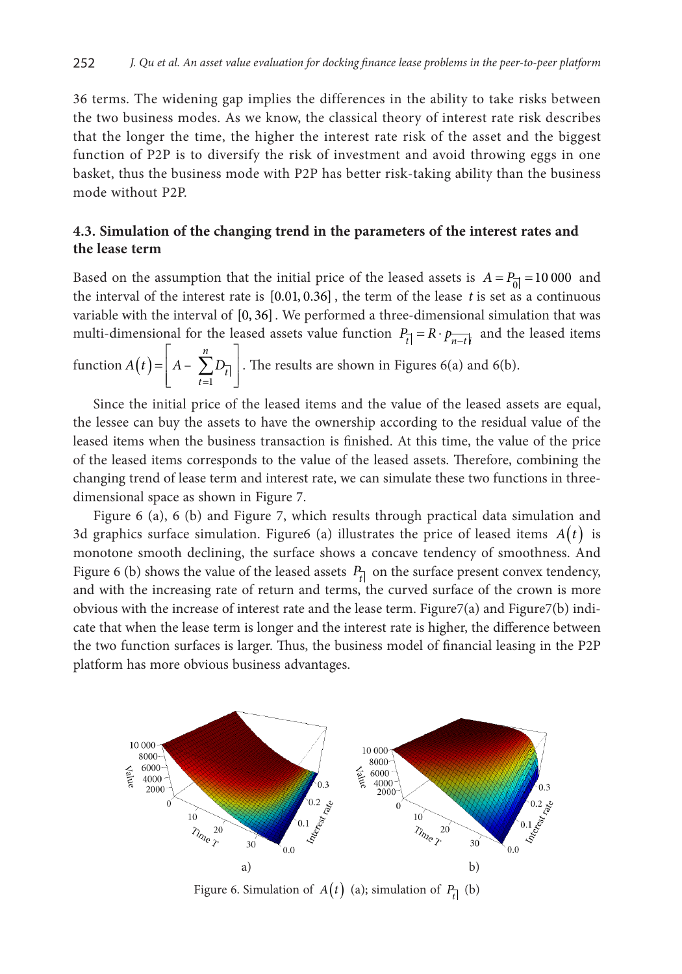36 terms. The widening gap implies the differences in the ability to take risks between the two business modes. As we know, the classical theory of interest rate risk describes that the longer the time, the higher the interest rate risk of the asset and the biggest function of P2P is to diversify the risk of investment and avoid throwing eggs in one basket, thus the business mode with P2P has better risk-taking ability than the business mode without P2P.

### **4.3. Simulation of the changing trend in the parameters of the interest rates and the lease term**

Based on the assumption that the initial price of the leased assets is  $A = P_0 = 10000$  and the interval of the interest rate is [0.01, 0.36] , the term of the lease *t* is set as a continuous variable with the interval of [0, 36]. We performed a three-dimensional simulation that was multi-dimensional for the leased assets value function  $P_{\vec{r}} = R \cdot p_{\vec{n} - t\vec{k}}$  and the leased items

function  $A(t)$ =  $\begin{vmatrix} n \\ n \end{vmatrix}$  $=\left[ A-\sum_{t=1}^{\infty}D_{\overline{t}}\right]$ 1 – *n*  $\sum_{t=1}^{L} t$  $A(t) = |A - \sum D_{\bar{t}}|$ . The results are shown in Figures 6(a) and 6(b).

Since the initial price of the leased items and the value of the leased assets are equal, the lessee can buy the assets to have the ownership according to the residual value of the leased items when the business transaction is finished. At this time, the value of the price of the leased items corresponds to the value of the leased assets. Therefore, combining the changing trend of lease term and interest rate, we can simulate these two functions in threedimensional space as shown in Figure 7.

Figure 6 (a), 6 (b) and Figure 7, which results through practical data simulation and 3d graphics surface simulation. Figure6 (a) illustrates the price of leased items  $A(t)$  is monotone smooth declining, the surface shows a concave tendency of smoothness. And Figure 6 (b) shows the value of the leased assets  $P_{t}$  on the surface present convex tendency, and with the increasing rate of return and terms, the curved surface of the crown is more obvious with the increase of interest rate and the lease term. Figure7(a) and Figure7(b) indicate that when the lease term is longer and the interest rate is higher, the difference between the two function surfaces is larger. Thus, the business model of financial leasing in the P2P platform has more obvious business advantages.



Figure 6. Simulation of  $A(t)$  (a); simulation of  $P_{\vec{t}}$  (b)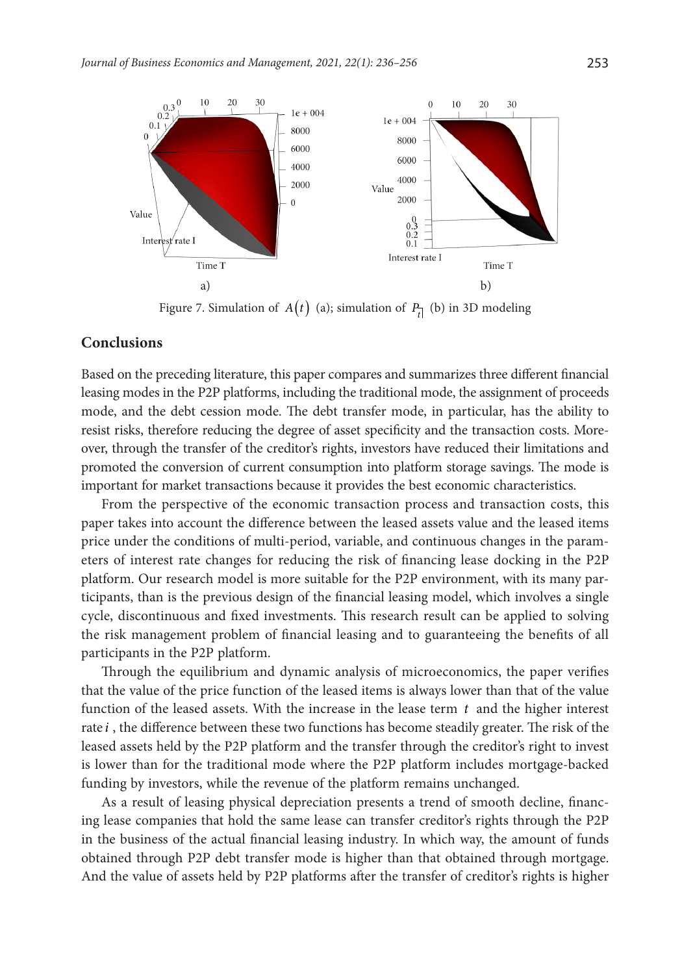

Figure 7. Simulation of  $A(t)$  (a); simulation of  $P_{\vec{t}}$  (b) in 3D modeling

#### **Conclusions**

Based on the preceding literature, this paper compares and summarizes three different financial leasing modes in the P2P platforms, including the traditional mode, the assignment of proceeds mode, and the debt cession mode. The debt transfer mode, in particular, has the ability to resist risks, therefore reducing the degree of asset specificity and the transaction costs. Moreover, through the transfer of the creditor's rights, investors have reduced their limitations and promoted the conversion of current consumption into platform storage savings. The mode is important for market transactions because it provides the best economic characteristics.

From the perspective of the economic transaction process and transaction costs, this paper takes into account the difference between the leased assets value and the leased items price under the conditions of multi-period, variable, and continuous changes in the parameters of interest rate changes for reducing the risk of financing lease docking in the P2P platform. Our research model is more suitable for the P2P environment, with its many participants, than is the previous design of the financial leasing model, which involves a single cycle, discontinuous and fixed investments. This research result can be applied to solving the risk management problem of financial leasing and to guaranteeing the benefits of all participants in the P2P platform.

Through the equilibrium and dynamic analysis of microeconomics, the paper verifies that the value of the price function of the leased items is always lower than that of the value function of the leased assets. With the increase in the lease term *t* and the higher interest rate *i* , the difference between these two functions has become steadily greater. The risk of the leased assets held by the P2P platform and the transfer through the creditor's right to invest is lower than for the traditional mode where the P2P platform includes mortgage-backed funding by investors, while the revenue of the platform remains unchanged.

As a result of leasing physical depreciation presents a trend of smooth decline, financing lease companies that hold the same lease can transfer creditor's rights through the P2P in the business of the actual financial leasing industry. In which way, the amount of funds obtained through P2P debt transfer mode is higher than that obtained through mortgage. And the value of assets held by P2P platforms after the transfer of creditor's rights is higher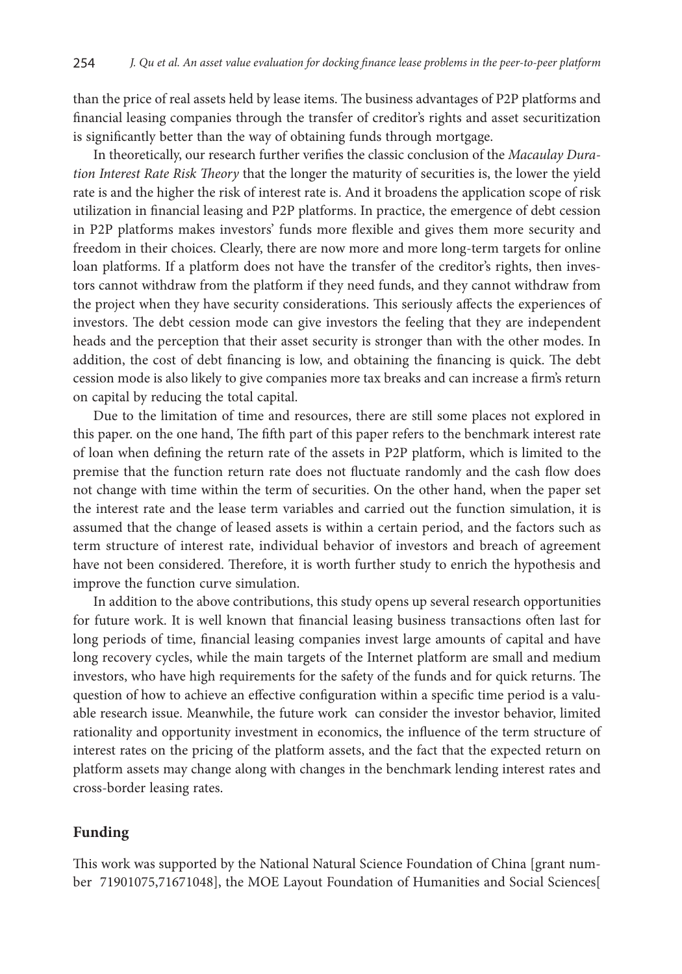than the price of real assets held by lease items. The business advantages of P2P platforms and financial leasing companies through the transfer of creditor's rights and asset securitization is significantly better than the way of obtaining funds through mortgage.

In theoretically, our research further verifies the classic conclusion of the *Macaulay Duration Interest Rate Risk Theory* that the longer the maturity of securities is, the lower the yield rate is and the higher the risk of interest rate is. And it broadens the application scope of risk utilization in financial leasing and P2P platforms. In practice, the emergence of debt cession in P2P platforms makes investors' funds more flexible and gives them more security and freedom in their choices. Clearly, there are now more and more long-term targets for online loan platforms. If a platform does not have the transfer of the creditor's rights, then investors cannot withdraw from the platform if they need funds, and they cannot withdraw from the project when they have security considerations. This seriously affects the experiences of investors. The debt cession mode can give investors the feeling that they are independent heads and the perception that their asset security is stronger than with the other modes. In addition, the cost of debt financing is low, and obtaining the financing is quick. The debt cession mode is also likely to give companies more tax breaks and can increase a firm's return on capital by reducing the total capital.

Due to the limitation of time and resources, there are still some places not explored in this paper. on the one hand, The fifth part of this paper refers to the benchmark interest rate of loan when defining the return rate of the assets in P2P platform, which is limited to the premise that the function return rate does not fluctuate randomly and the cash flow does not change with time within the term of securities. On the other hand, when the paper set the interest rate and the lease term variables and carried out the function simulation, it is assumed that the change of leased assets is within a certain period, and the factors such as term structure of interest rate, individual behavior of investors and breach of agreement have not been considered. Therefore, it is worth further study to enrich the hypothesis and improve the function curve simulation.

In addition to the above contributions, this study opens up several research opportunities for future work. It is well known that financial leasing business transactions often last for long periods of time, financial leasing companies invest large amounts of capital and have long recovery cycles, while the main targets of the Internet platform are small and medium investors, who have high requirements for the safety of the funds and for quick returns. The question of how to achieve an effective configuration within a specific time period is a valuable research issue. Meanwhile, the future work can consider the investor behavior, limited rationality and opportunity investment in economics, the influence of the term structure of interest rates on the pricing of the platform assets, and the fact that the expected return on platform assets may change along with changes in the benchmark lending interest rates and cross-border leasing rates.

### **Funding**

This work was supported by the National Natural Science Foundation of China [grant number 71901075,71671048], the MOE Layout Foundation of Humanities and Social Sciences[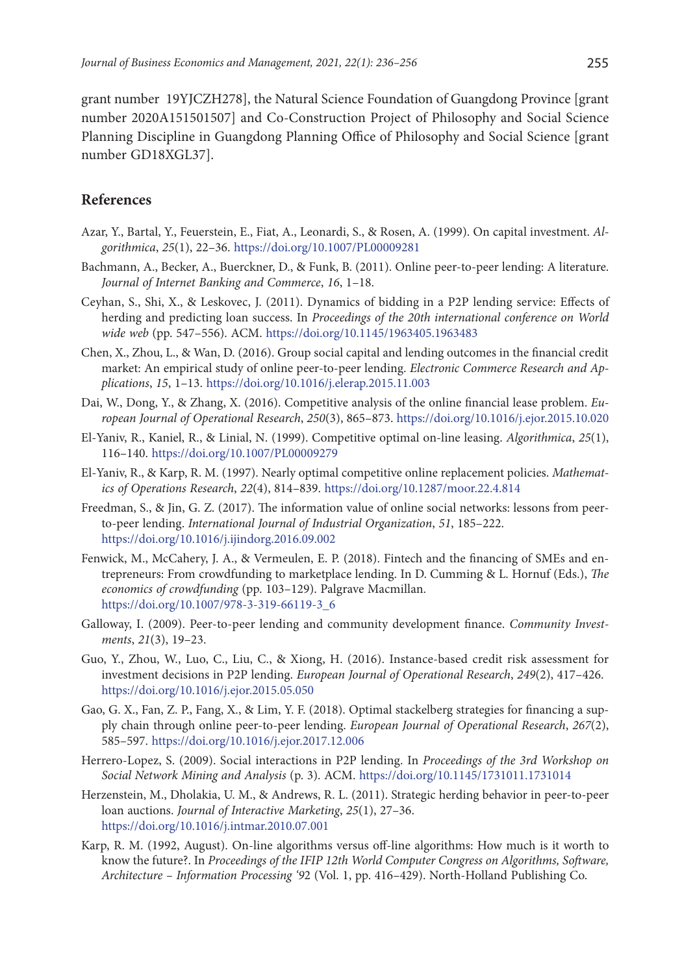grant number 19YJCZH278], the Natural Science Foundation of Guangdong Province [grant number 2020A151501507] and Co-Construction Project of Philosophy and Social Science Planning Discipline in Guangdong Planning Office of Philosophy and Social Science [grant number GD18XGL37].

## **References**

- Azar, Y., Bartal, Y., Feuerstein, E., Fiat, A., Leonardi, S., & Rosen, A. (1999). On capital investment. *Algorithmica*, *25*(1), 22–36. <https://doi.org/10.1007/PL00009281>
- Bachmann, A., Becker, A., Buerckner, D., & Funk, B. (2011). Online peer-to-peer lending: A literature. *Journal of Internet Banking and Commerce*, *16*, 1–18.
- Ceyhan, S., Shi, X., & Leskovec, J. (2011). Dynamics of bidding in a P2P lending service: Effects of herding and predicting loan success. In *Proceedings of the 20th international conference on World wide web* (pp. 547–556). ACM. <https://doi.org/10.1145/1963405.1963483>
- Chen, X., Zhou, L., & Wan, D. (2016). Group social capital and lending outcomes in the financial credit market: An empirical study of online peer-to-peer lending. *Electronic Commerce Research and Applications*, *15*, 1–13. <https://doi.org/10.1016/j.elerap.2015.11.003>
- Dai, W., Dong, Y., & Zhang, X. (2016). Competitive analysis of the online financial lease problem. *European Journal of Operational Research*, *250*(3), 865–873. <https://doi.org/10.1016/j.ejor.2015.10.020>
- El-Yaniv, R., Kaniel, R., & Linial, N. (1999). Competitive optimal on-line leasing. *Algorithmica*, *25*(1), 116–140. <https://doi.org/10.1007/PL00009279>
- El-Yaniv, R., & Karp, R. M. (1997). Nearly optimal competitive online replacement policies. *Mathematics of Operations Research*, *22*(4), 814–839. <https://doi.org/10.1287/moor.22.4.814>
- Freedman, S., & Jin, G. Z. (2017). The information value of online social networks: lessons from peerto-peer lending. *International Journal of Industrial Organization*, *51*, 185–222. <https://doi.org/10.1016/j.ijindorg.2016.09.002>
- Fenwick, M., McCahery, J. A., & Vermeulen, E. P. (2018). Fintech and the financing of SMEs and entrepreneurs: From crowdfunding to marketplace lending. In D. Cumming & L. Hornuf (Eds.), *The economics of crowdfunding* (pp. 103–129). Palgrave Macmillan. [https://doi.org/10.1007/978-3-319-66119-3\\_6](https://doi.org/10.1007/978-3-319-66119-3_6)
- Galloway, I. (2009). Peer-to-peer lending and community development finance. *Community Investments*, *21*(3), 19–23.
- Guo, Y., Zhou, W., Luo, C., Liu, C., & Xiong, H. (2016). Instance-based credit risk assessment for investment decisions in P2P lending. *European Journal of Operational Research*, *249*(2), 417–426. <https://doi.org/10.1016/j.ejor.2015.05.050>
- Gao, G. X., Fan, Z. P., Fang, X., & Lim, Y. F. (2018). Optimal stackelberg strategies for financing a supply chain through online peer-to-peer lending. *European Journal of Operational Research*, *267*(2), 585–597. <https://doi.org/10.1016/j.ejor.2017.12.006>
- Herrero-Lopez, S. (2009). Social interactions in P2P lending. In *Proceedings of the 3rd Workshop on Social Network Mining and Analysis* (p. 3). ACM. <https://doi.org/10.1145/1731011.1731014>
- Herzenstein, M., Dholakia, U. M., & Andrews, R. L. (2011). Strategic herding behavior in peer-to-peer loan auctions. *Journal of Interactive Marketing*, *25*(1), 27–36. <https://doi.org/10.1016/j.intmar.2010.07.001>
- Karp, R. M. (1992, August). On-line algorithms versus off-line algorithms: How much is it worth to know the future?. In *Proceedings of the IFIP 12th World Computer Congress on Algorithms, Software, Architecture – Information Processing '9*2 (Vol. 1, pp. 416–429). North-Holland Publishing Co.